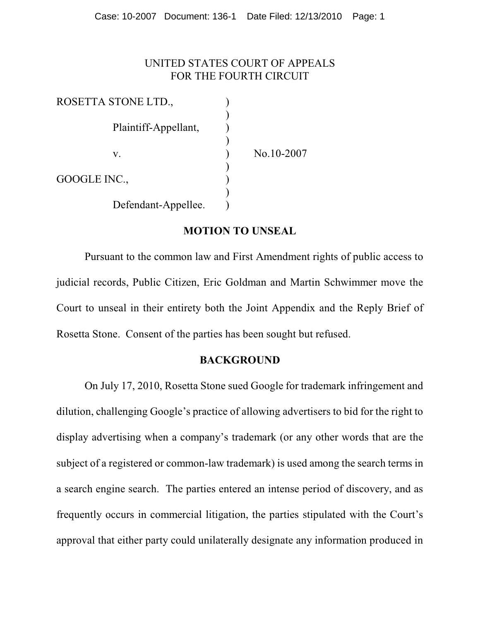#### UNITED STATES COURT OF APPEALS FOR THE FOURTH CIRCUIT

| ROSETTA STONE LTD.,  |            |
|----------------------|------------|
|                      |            |
| Plaintiff-Appellant, |            |
|                      |            |
| V.                   | No.10-2007 |
|                      |            |
| GOOGLE INC.,         |            |
|                      |            |
| Defendant-Appellee.  |            |

#### **MOTION TO UNSEAL**

Pursuant to the common law and First Amendment rights of public access to judicial records, Public Citizen, Eric Goldman and Martin Schwimmer move the Court to unseal in their entirety both the Joint Appendix and the Reply Brief of Rosetta Stone. Consent of the parties has been sought but refused.

#### **BACKGROUND**

On July 17, 2010, Rosetta Stone sued Google for trademark infringement and dilution, challenging Google's practice of allowing advertisers to bid for the right to display advertising when a company's trademark (or any other words that are the subject of a registered or common-law trademark) is used among the search terms in a search engine search. The parties entered an intense period of discovery, and as frequently occurs in commercial litigation, the parties stipulated with the Court's approval that either party could unilaterally designate any information produced in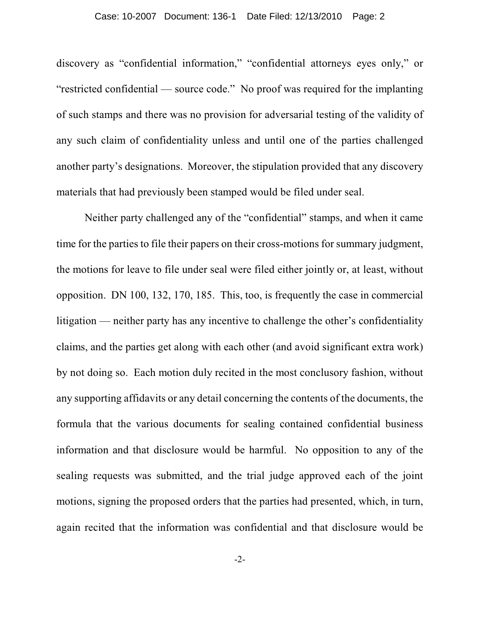discovery as "confidential information," "confidential attorneys eyes only," or "restricted confidential — source code." No proof was required for the implanting of such stamps and there was no provision for adversarial testing of the validity of any such claim of confidentiality unless and until one of the parties challenged another party's designations. Moreover, the stipulation provided that any discovery materials that had previously been stamped would be filed under seal.

Neither party challenged any of the "confidential" stamps, and when it came time for the parties to file their papers on their cross-motions for summary judgment, the motions for leave to file under seal were filed either jointly or, at least, without opposition. DN 100, 132, 170, 185. This, too, is frequently the case in commercial litigation — neither party has any incentive to challenge the other's confidentiality claims, and the parties get along with each other (and avoid significant extra work) by not doing so. Each motion duly recited in the most conclusory fashion, without any supporting affidavits or any detail concerning the contents of the documents, the formula that the various documents for sealing contained confidential business information and that disclosure would be harmful. No opposition to any of the sealing requests was submitted, and the trial judge approved each of the joint motions, signing the proposed orders that the parties had presented, which, in turn, again recited that the information was confidential and that disclosure would be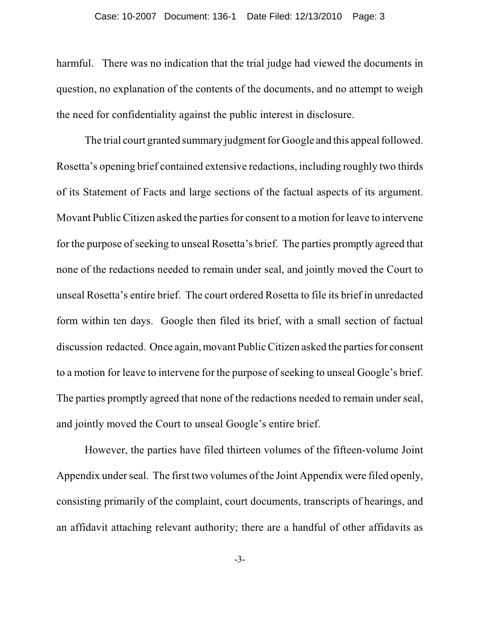harmful. There was no indication that the trial judge had viewed the documents in question, no explanation of the contents of the documents, and no attempt to weigh the need for confidentiality against the public interest in disclosure.

The trial court granted summary judgment for Google and this appeal followed. Rosetta's opening brief contained extensive redactions, including roughly two thirds of its Statement of Facts and large sections of the factual aspects of its argument. Movant Public Citizen asked the parties for consent to a motion for leave to intervene for the purpose of seeking to unseal Rosetta's brief. The parties promptly agreed that none of the redactions needed to remain under seal, and jointly moved the Court to unseal Rosetta's entire brief. The court ordered Rosetta to file its brief in unredacted form within ten days. Google then filed its brief, with a small section of factual discussion redacted. Once again, movant Public Citizen asked the parties for consent to a motion for leave to intervene for the purpose of seeking to unseal Google's brief. The parties promptly agreed that none of the redactions needed to remain under seal, and jointly moved the Court to unseal Google's entire brief.

However, the parties have filed thirteen volumes of the fifteen-volume Joint Appendix under seal. The first two volumes of the Joint Appendix were filed openly, consisting primarily of the complaint, court documents, transcripts of hearings, and an affidavit attaching relevant authority; there are a handful of other affidavits as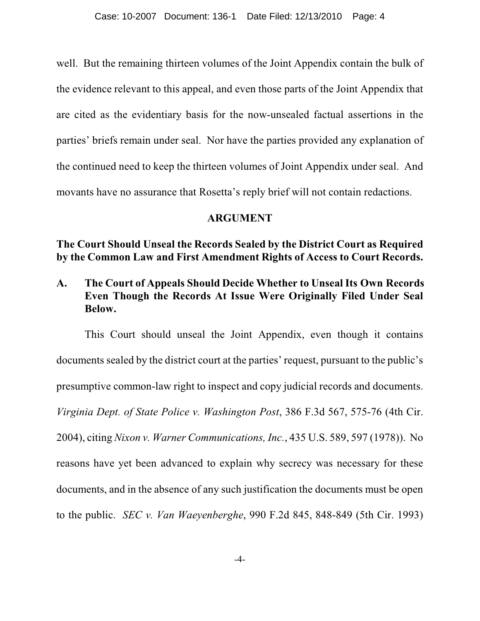well. But the remaining thirteen volumes of the Joint Appendix contain the bulk of the evidence relevant to this appeal, and even those parts of the Joint Appendix that are cited as the evidentiary basis for the now-unsealed factual assertions in the parties' briefs remain under seal. Nor have the parties provided any explanation of the continued need to keep the thirteen volumes of Joint Appendix under seal. And movants have no assurance that Rosetta's reply brief will not contain redactions.

#### **ARGUMENT**

**The Court Should Unseal the Records Sealed by the District Court as Required by the Common Law and First Amendment Rights of Access to Court Records.**

## **A. The Court of Appeals Should Decide Whether to Unseal Its Own Records Even Though the Records At Issue Were Originally Filed Under Seal Below.**

This Court should unseal the Joint Appendix, even though it contains documents sealed by the district court at the parties' request, pursuant to the public's presumptive common-law right to inspect and copy judicial records and documents. *Virginia Dept. of State Police v. Washington Post*, 386 F.3d 567, 575-76 (4th Cir. 2004), citing *Nixon v. Warner Communications, Inc.*, 435 U.S. 589, 597 (1978)). No reasons have yet been advanced to explain why secrecy was necessary for these documents, and in the absence of any such justification the documents must be open to the public. *SEC v. Van Waeyenberghe*, 990 F.2d 845, 848-849 (5th Cir. 1993)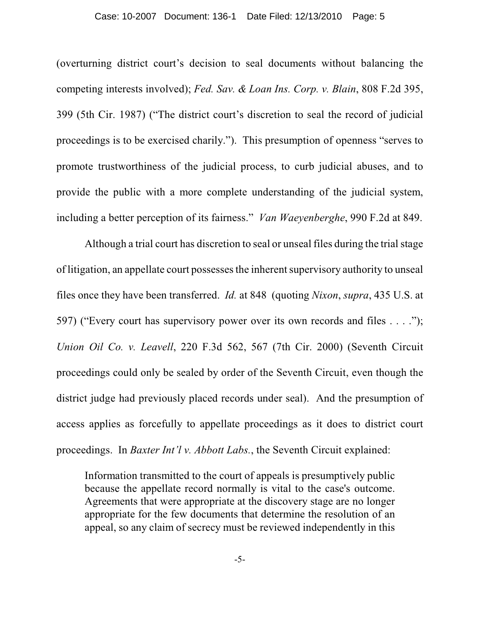(overturning district court's decision to seal documents without balancing the competing interests involved); *Fed. Sav. & Loan Ins. Corp. v. Blain*, 808 F.2d 395, 399 (5th Cir. 1987) ("The district court's discretion to seal the record of judicial proceedings is to be exercised charily."). This presumption of openness "serves to promote trustworthiness of the judicial process, to curb judicial abuses, and to provide the public with a more complete understanding of the judicial system, including a better perception of its fairness." *Van Waeyenberghe*, 990 F.2d at 849.

Although a trial court has discretion to seal or unseal files during the trial stage of litigation, an appellate court possesses the inherent supervisory authority to unseal files once they have been transferred. *Id.* at 848 (quoting *Nixon*, *supra*, 435 U.S. at 597) ("Every court has supervisory power over its own records and files . . . ."); *Union Oil Co. v. Leavell*, 220 F.3d 562, 567 (7th Cir. 2000) (Seventh Circuit proceedings could only be sealed by order of the Seventh Circuit, even though the district judge had previously placed records under seal). And the presumption of access applies as forcefully to appellate proceedings as it does to district court proceedings. In *Baxter Int'l v. Abbott Labs.*, the Seventh Circuit explained:

Information transmitted to the court of appeals is presumptively public because the appellate record normally is vital to the case's outcome. Agreements that were appropriate at the discovery stage are no longer appropriate for the few documents that determine the resolution of an appeal, so any claim of secrecy must be reviewed independently in this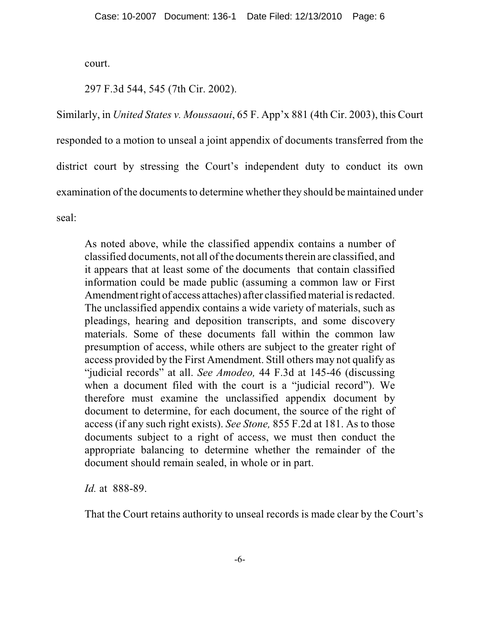court.

297 F.3d 544, 545 (7th Cir. 2002).

Similarly, in *United States v. Moussaoui*, 65 F. App'x 881 (4th Cir. 2003), this Court responded to a motion to unseal a joint appendix of documents transferred from the district court by stressing the Court's independent duty to conduct its own examination of the documents to determine whether they should be maintained under seal:

As noted above, while the classified appendix contains a number of classified documents, not all ofthe documents therein are classified, and it appears that at least some of the documents that contain classified information could be made public (assuming a common law or First Amendment right of access attaches) after classified material is redacted. The unclassified appendix contains a wide variety of materials, such as pleadings, hearing and deposition transcripts, and some discovery materials. Some of these documents fall within the common law presumption of access, while others are subject to the greater right of access provided by the First Amendment. Still others may not qualify as "judicial records" at all. *See Amodeo,* 44 F.3d at 145-46 (discussing when a document filed with the court is a "judicial record"). We therefore must examine the unclassified appendix document by document to determine, for each document, the source of the right of access (if any such right exists). *See Stone,* 855 F.2d at 181. As to those documents subject to a right of access, we must then conduct the appropriate balancing to determine whether the remainder of the document should remain sealed, in whole or in part.

*Id.* at 888-89.

That the Court retains authority to unseal records is made clear by the Court's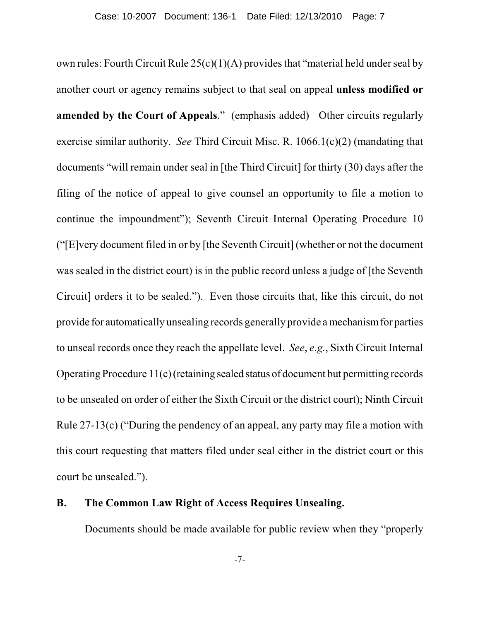own rules: Fourth Circuit Rule 25(c)(1)(A) provides that "material held under seal by another court or agency remains subject to that seal on appeal **unless modified or amended by the Court of Appeals**." (emphasis added) Other circuits regularly exercise similar authority. *See* Third Circuit Misc. R. 1066.1(c)(2) (mandating that documents "will remain under seal in [the Third Circuit] for thirty (30) days after the filing of the notice of appeal to give counsel an opportunity to file a motion to continue the impoundment"); Seventh Circuit Internal Operating Procedure 10 ("[E]very document filed in or by [the Seventh Circuit] (whether or not the document was sealed in the district court) is in the public record unless a judge of [the Seventh Circuit] orders it to be sealed."). Even those circuits that, like this circuit, do not provide for automatically unsealing records generally provide a mechanism for parties to unseal records once they reach the appellate level. *See*, *e.g.*, Sixth Circuit Internal Operating Procedure 11(c) (retaining sealed status of document but permitting records to be unsealed on order of either the Sixth Circuit or the district court); Ninth Circuit Rule 27-13(c) ("During the pendency of an appeal, any party may file a motion with this court requesting that matters filed under seal either in the district court or this court be unsealed.").

#### **B. The Common Law Right of Access Requires Unsealing.**

Documents should be made available for public review when they "properly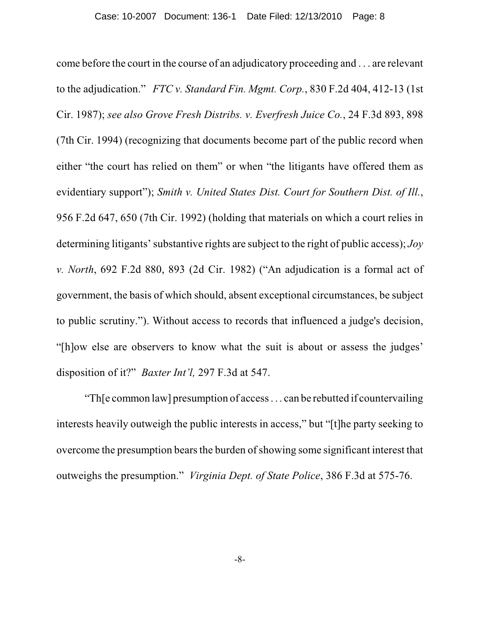come before the court in the course of an adjudicatory proceeding and . . . are relevant to the adjudication." *FTC v. Standard Fin. Mgmt. Corp.*, 830 F.2d 404, 412-13 (1st Cir. 1987); *see also Grove Fresh Distribs. v. Everfresh Juice Co.*, 24 F.3d 893, 898 (7th Cir. 1994) (recognizing that documents become part of the public record when either "the court has relied on them" or when "the litigants have offered them as evidentiary support"); *Smith v. United States Dist. Court for Southern Dist. of Ill.*, 956 F.2d 647, 650 (7th Cir. 1992) (holding that materials on which a court relies in determining litigants' substantive rights are subject to the right of public access); *Joy v. North*, 692 F.2d 880, 893 (2d Cir. 1982) ("An adjudication is a formal act of government, the basis of which should, absent exceptional circumstances, be subject to public scrutiny."). Without access to records that influenced a judge's decision, "[h]ow else are observers to know what the suit is about or assess the judges' disposition of it?" *Baxter Int'l,* 297 F.3d at 547.

"Th[e common law] presumption of access . . . can be rebutted if countervailing interests heavily outweigh the public interests in access," but "[t]he party seeking to overcome the presumption bears the burden of showing some significant interest that outweighs the presumption." *Virginia Dept. of State Police*, 386 F.3d at 575-76.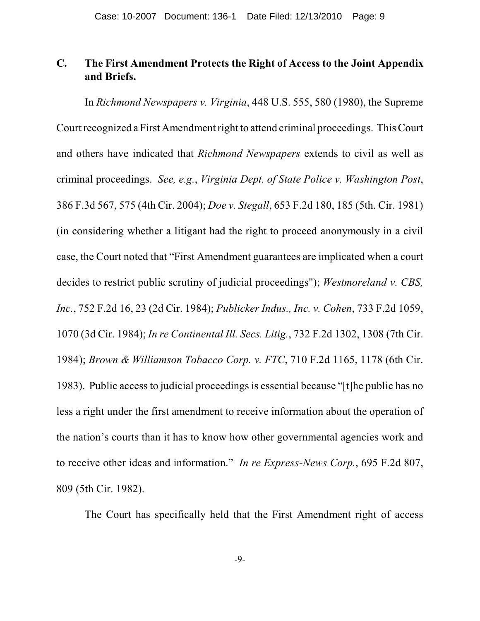## **C. The First Amendment Protects the Right of Access to the Joint Appendix and Briefs.**

In *Richmond Newspapers v. Virginia*, 448 U.S. 555, 580 (1980), the Supreme Court recognized a First Amendment right to attend criminal proceedings. This Court and others have indicated that *Richmond Newspapers* extends to civil as well as criminal proceedings. *See, e.g.*, *Virginia Dept. of State Police v. Washington Post*, 386 F.3d 567, 575 (4th Cir. 2004); *Doe v. Stegall*, 653 F.2d 180, 185 (5th. Cir. 1981) (in considering whether a litigant had the right to proceed anonymously in a civil case, the Court noted that "First Amendment guarantees are implicated when a court decides to restrict public scrutiny of judicial proceedings"); *Westmoreland v. CBS, Inc.*, 752 F.2d 16, 23 (2d Cir. 1984); *Publicker Indus., Inc. v. Cohen*, 733 F.2d 1059, 1070 (3d Cir. 1984); *In re Continental Ill. Secs. Litig.*, 732 F.2d 1302, 1308 (7th Cir. 1984); *Brown & Williamson Tobacco Corp. v. FTC*, 710 F.2d 1165, 1178 (6th Cir. 1983). Public access to judicial proceedings is essential because "[t]he public has no less a right under the first amendment to receive information about the operation of the nation's courts than it has to know how other governmental agencies work and to receive other ideas and information." *In re Express-News Corp.*, 695 F.2d 807, 809 (5th Cir. 1982).

The Court has specifically held that the First Amendment right of access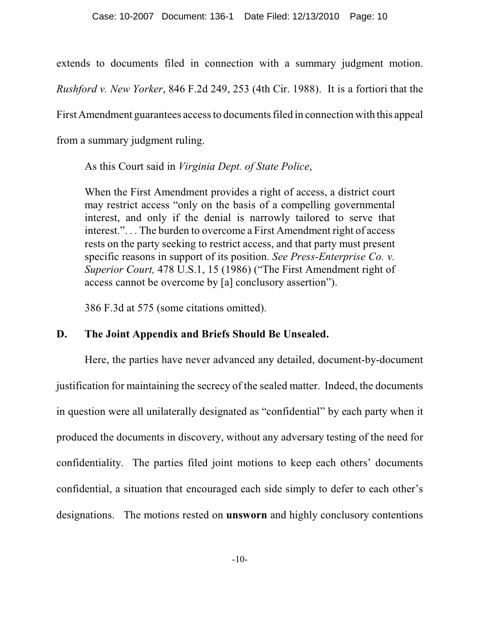extends to documents filed in connection with a summary judgment motion.

*Rushford v. New Yorker*, 846 F.2d 249, 253 (4th Cir. 1988). It is a fortiori that the

First Amendment guarantees access to documents filed in connection with this appeal

from a summary judgment ruling.

As this Court said in *Virginia Dept. of State Police*,

When the First Amendment provides a right of access, a district court may restrict access "only on the basis of a compelling governmental interest, and only if the denial is narrowly tailored to serve that interest.". . . The burden to overcome a First Amendment right of access rests on the party seeking to restrict access, and that party must present specific reasons in support of its position. *See Press-Enterprise Co. v. Superior Court,* 478 U.S.1, 15 (1986) ("The First Amendment right of access cannot be overcome by [a] conclusory assertion").

386 F.3d at 575 (some citations omitted).

## **D. The Joint Appendix and Briefs Should Be Unsealed.**

Here, the parties have never advanced any detailed, document-by-document justification for maintaining the secrecy of the sealed matter. Indeed, the documents in question were all unilaterally designated as "confidential" by each party when it produced the documents in discovery, without any adversary testing of the need for confidentiality. The parties filed joint motions to keep each others' documents confidential, a situation that encouraged each side simply to defer to each other's designations. The motions rested on **unsworn** and highly conclusory contentions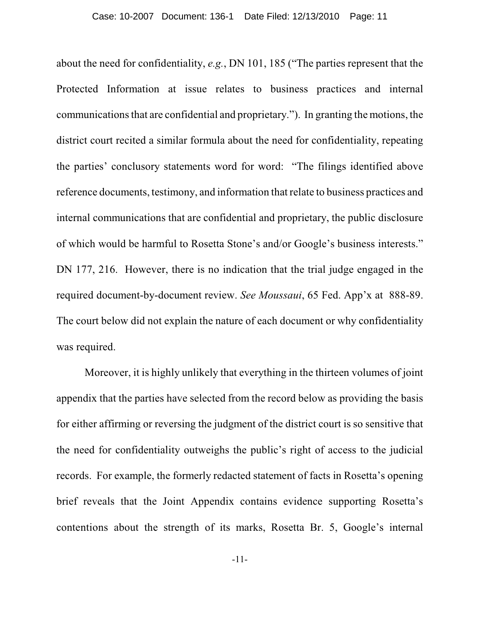about the need for confidentiality, *e.g.*, DN 101, 185 ("The parties represent that the Protected Information at issue relates to business practices and internal communications that are confidential and proprietary."). In granting the motions, the district court recited a similar formula about the need for confidentiality, repeating the parties' conclusory statements word for word: "The filings identified above reference documents, testimony, and information that relate to business practices and internal communications that are confidential and proprietary, the public disclosure of which would be harmful to Rosetta Stone's and/or Google's business interests." DN 177, 216. However, there is no indication that the trial judge engaged in the required document-by-document review. *See Moussaui*, 65 Fed. App'x at 888-89. The court below did not explain the nature of each document or why confidentiality was required.

Moreover, it is highly unlikely that everything in the thirteen volumes of joint appendix that the parties have selected from the record below as providing the basis for either affirming or reversing the judgment of the district court is so sensitive that the need for confidentiality outweighs the public's right of access to the judicial records. For example, the formerly redacted statement of facts in Rosetta's opening brief reveals that the Joint Appendix contains evidence supporting Rosetta's contentions about the strength of its marks, Rosetta Br. 5, Google's internal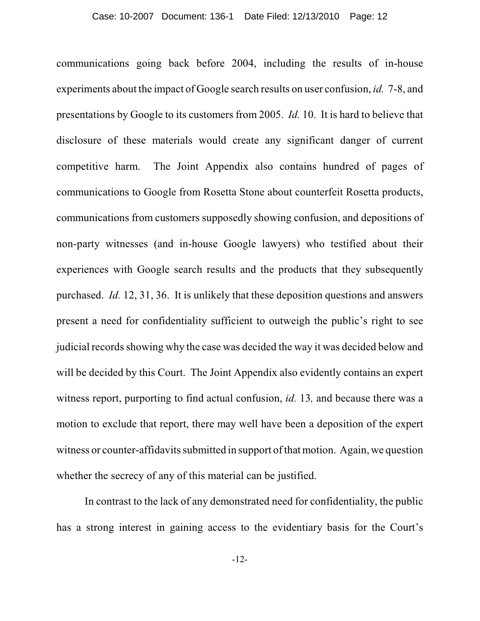communications going back before 2004, including the results of in-house experiments about the impact of Google search results on user confusion, *id.* 7-8, and presentations by Google to its customers from 2005. *Id.* 10. It is hard to believe that disclosure of these materials would create any significant danger of current competitive harm. The Joint Appendix also contains hundred of pages of communications to Google from Rosetta Stone about counterfeit Rosetta products, communications from customers supposedly showing confusion, and depositions of non-party witnesses (and in-house Google lawyers) who testified about their experiences with Google search results and the products that they subsequently purchased. *Id.* 12, 31, 36. It is unlikely that these deposition questions and answers present a need for confidentiality sufficient to outweigh the public's right to see judicial records showing why the case was decided the way it was decided below and will be decided by this Court. The Joint Appendix also evidently contains an expert witness report, purporting to find actual confusion, *id.* 13*,* and because there was a motion to exclude that report, there may well have been a deposition of the expert witness or counter-affidavits submitted in support of that motion. Again, we question whether the secrecy of any of this material can be justified.

In contrast to the lack of any demonstrated need for confidentiality, the public has a strong interest in gaining access to the evidentiary basis for the Court's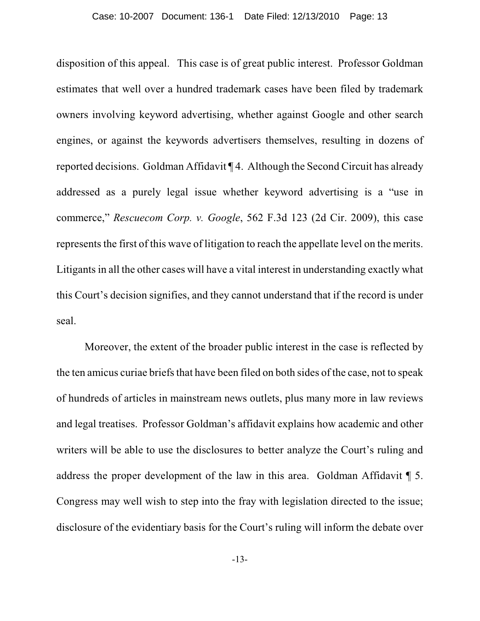disposition of this appeal. This case is of great public interest. Professor Goldman estimates that well over a hundred trademark cases have been filed by trademark owners involving keyword advertising, whether against Google and other search engines, or against the keywords advertisers themselves, resulting in dozens of reported decisions. Goldman Affidavit ¶ 4. Although the Second Circuit has already addressed as a purely legal issue whether keyword advertising is a "use in commerce," *Rescuecom Corp. v. Google*, 562 F.3d 123 (2d Cir. 2009), this case represents the first of this wave of litigation to reach the appellate level on the merits. Litigants in all the other cases will have a vital interest in understanding exactly what this Court's decision signifies, and they cannot understand that if the record is under seal.

Moreover, the extent of the broader public interest in the case is reflected by the ten amicus curiae briefs that have been filed on both sides of the case, not to speak of hundreds of articles in mainstream news outlets, plus many more in law reviews and legal treatises. Professor Goldman's affidavit explains how academic and other writers will be able to use the disclosures to better analyze the Court's ruling and address the proper development of the law in this area. Goldman Affidavit ¶ 5. Congress may well wish to step into the fray with legislation directed to the issue; disclosure of the evidentiary basis for the Court's ruling will inform the debate over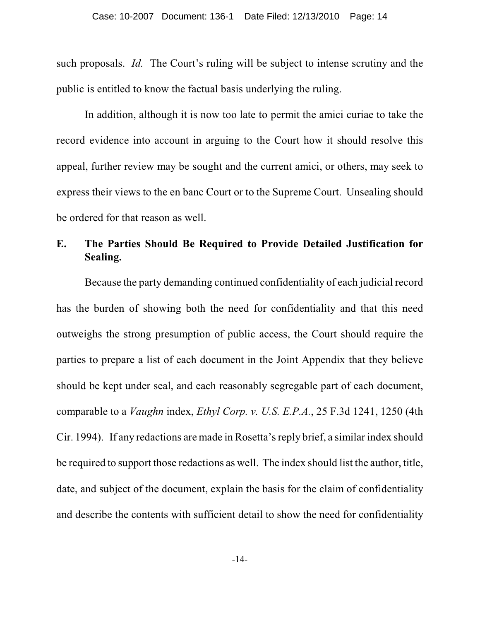such proposals. *Id.* The Court's ruling will be subject to intense scrutiny and the public is entitled to know the factual basis underlying the ruling.

In addition, although it is now too late to permit the amici curiae to take the record evidence into account in arguing to the Court how it should resolve this appeal, further review may be sought and the current amici, or others, may seek to express their views to the en banc Court or to the Supreme Court. Unsealing should be ordered for that reason as well.

## **E. The Parties Should Be Required to Provide Detailed Justification for Sealing.**

Because the party demanding continued confidentiality of each judicial record has the burden of showing both the need for confidentiality and that this need outweighs the strong presumption of public access, the Court should require the parties to prepare a list of each document in the Joint Appendix that they believe should be kept under seal, and each reasonably segregable part of each document, comparable to a *Vaughn* index, *Ethyl Corp. v. U.S. E.P.A.*, 25 F.3d 1241, 1250 (4th Cir. 1994). If any redactions are made in Rosetta's reply brief, a similar index should be required to support those redactions as well. The index should list the author, title, date, and subject of the document, explain the basis for the claim of confidentiality and describe the contents with sufficient detail to show the need for confidentiality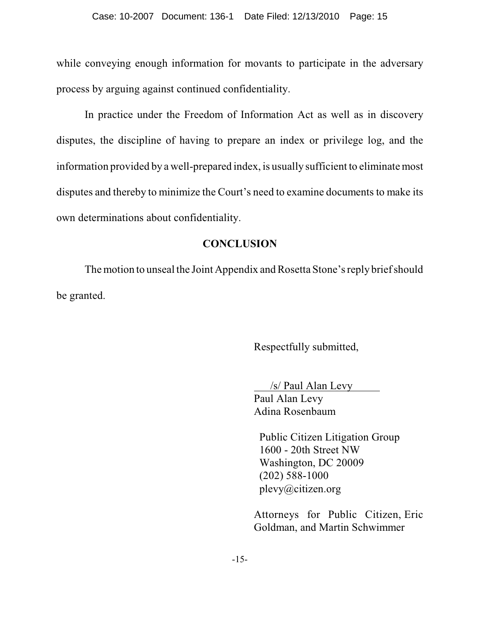while conveying enough information for movants to participate in the adversary process by arguing against continued confidentiality.

In practice under the Freedom of Information Act as well as in discovery disputes, the discipline of having to prepare an index or privilege log, and the information provided by a well-prepared index, is usually sufficient to eliminate most disputes and thereby to minimize the Court's need to examine documents to make its own determinations about confidentiality.

## **CONCLUSION**

The motion to unseal the Joint Appendix and Rosetta Stone's reply brief should be granted.

Respectfully submitted,

 /s/ Paul Alan Levy Paul Alan Levy Adina Rosenbaum

 Public Citizen Litigation Group 1600 - 20th Street NW Washington, DC 20009 (202) 588-1000 plevy@citizen.org

Attorneys for Public Citizen, Eric Goldman, and Martin Schwimmer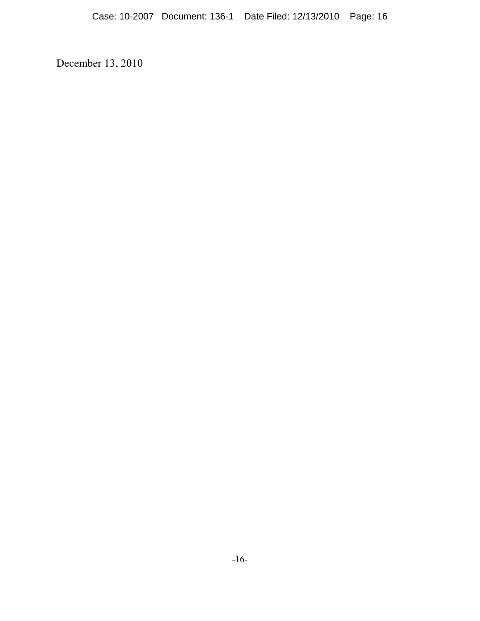December 13, 2010